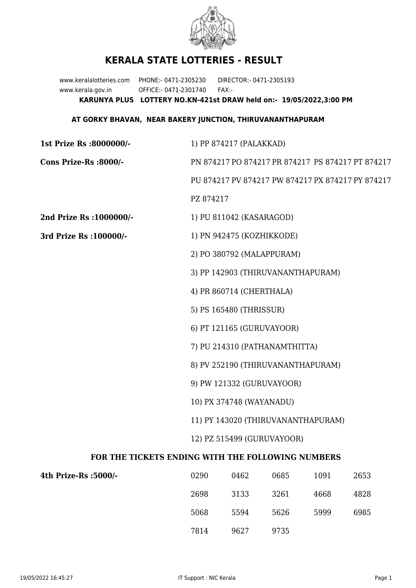

## **KERALA STATE LOTTERIES - RESULT**

www.keralalotteries.com PHONE:- 0471-2305230 DIRECTOR:- 0471-2305193 www.kerala.gov.in OFFICE:- 0471-2301740 FAX:- **KARUNYA PLUS LOTTERY NO.KN-421st DRAW held on:- 19/05/2022,3:00 PM**

## **AT GORKY BHAVAN, NEAR BAKERY JUNCTION, THIRUVANANTHAPURAM**

| 1st Prize Rs :8000000/-                           | 1) PP 874217 (PALAKKAD)                                          |                          |                                                   |      |      |  |  |
|---------------------------------------------------|------------------------------------------------------------------|--------------------------|---------------------------------------------------|------|------|--|--|
| Cons Prize-Rs :8000/-                             | PN 874217 PO 874217 PR 874217 PS 874217 PT 874217                |                          |                                                   |      |      |  |  |
|                                                   |                                                                  |                          | PU 874217 PV 874217 PW 874217 PX 874217 PY 874217 |      |      |  |  |
|                                                   | PZ 874217                                                        |                          |                                                   |      |      |  |  |
| 2nd Prize Rs : 1000000/-                          |                                                                  | 1) PU 811042 (KASARAGOD) |                                                   |      |      |  |  |
| 3rd Prize Rs : 100000/-                           | 1) PN 942475 (KOZHIKKODE)                                        |                          |                                                   |      |      |  |  |
|                                                   | 2) PO 380792 (MALAPPURAM)                                        |                          |                                                   |      |      |  |  |
|                                                   | 3) PP 142903 (THIRUVANANTHAPURAM)                                |                          |                                                   |      |      |  |  |
|                                                   | 4) PR 860714 (CHERTHALA)                                         |                          |                                                   |      |      |  |  |
|                                                   | 5) PS 165480 (THRISSUR)                                          |                          |                                                   |      |      |  |  |
|                                                   | 6) PT 121165 (GURUVAYOOR)                                        |                          |                                                   |      |      |  |  |
|                                                   | 7) PU 214310 (PATHANAMTHITTA)                                    |                          |                                                   |      |      |  |  |
|                                                   | 8) PV 252190 (THIRUVANANTHAPURAM)                                |                          |                                                   |      |      |  |  |
|                                                   | 9) PW 121332 (GURUVAYOOR)<br>10) PX 374748 (WAYANADU)            |                          |                                                   |      |      |  |  |
|                                                   |                                                                  |                          |                                                   |      |      |  |  |
|                                                   | 11) PY 143020 (THIRUVANANTHAPURAM)<br>12) PZ 515499 (GURUVAYOOR) |                          |                                                   |      |      |  |  |
|                                                   |                                                                  |                          |                                                   |      |      |  |  |
| FOR THE TICKETS ENDING WITH THE FOLLOWING NUMBERS |                                                                  |                          |                                                   |      |      |  |  |
| 4th Prize-Rs :5000/-                              | 0290                                                             | 0462                     | 0685                                              | 1091 | 2653 |  |  |
|                                                   | 2698                                                             | 3133                     | 3261                                              | 4668 | 4828 |  |  |

7814 9627 9735

5068 5594 5626 5999 6985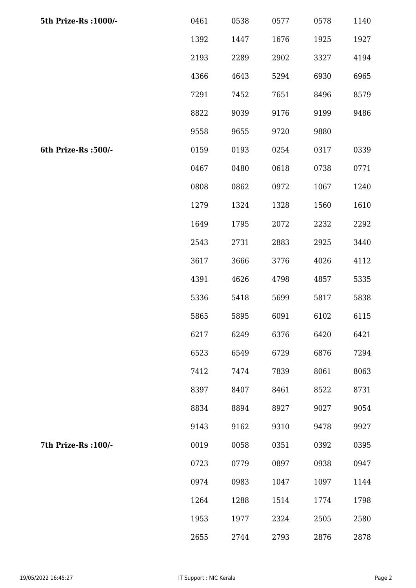| 5th Prize-Rs : 1000/- | 0461 | 0538 | 0577 | 0578 | 1140 |
|-----------------------|------|------|------|------|------|
|                       | 1392 | 1447 | 1676 | 1925 | 1927 |
|                       | 2193 | 2289 | 2902 | 3327 | 4194 |
|                       | 4366 | 4643 | 5294 | 6930 | 6965 |
|                       | 7291 | 7452 | 7651 | 8496 | 8579 |
|                       | 8822 | 9039 | 9176 | 9199 | 9486 |
|                       | 9558 | 9655 | 9720 | 9880 |      |
| 6th Prize-Rs :500/-   | 0159 | 0193 | 0254 | 0317 | 0339 |
|                       | 0467 | 0480 | 0618 | 0738 | 0771 |
|                       | 0808 | 0862 | 0972 | 1067 | 1240 |
|                       | 1279 | 1324 | 1328 | 1560 | 1610 |
|                       | 1649 | 1795 | 2072 | 2232 | 2292 |
|                       | 2543 | 2731 | 2883 | 2925 | 3440 |
|                       | 3617 | 3666 | 3776 | 4026 | 4112 |
|                       | 4391 | 4626 | 4798 | 4857 | 5335 |
|                       | 5336 | 5418 | 5699 | 5817 | 5838 |
|                       | 5865 | 5895 | 6091 | 6102 | 6115 |
|                       | 6217 | 6249 | 6376 | 6420 | 6421 |
|                       | 6523 | 6549 | 6729 | 6876 | 7294 |
|                       | 7412 | 7474 | 7839 | 8061 | 8063 |
|                       | 8397 | 8407 | 8461 | 8522 | 8731 |
|                       | 8834 | 8894 | 8927 | 9027 | 9054 |
|                       | 9143 | 9162 | 9310 | 9478 | 9927 |
| 7th Prize-Rs : 100/-  | 0019 | 0058 | 0351 | 0392 | 0395 |
|                       | 0723 | 0779 | 0897 | 0938 | 0947 |
|                       | 0974 | 0983 | 1047 | 1097 | 1144 |
|                       | 1264 | 1288 | 1514 | 1774 | 1798 |
|                       | 1953 | 1977 | 2324 | 2505 | 2580 |
|                       | 2655 | 2744 | 2793 | 2876 | 2878 |